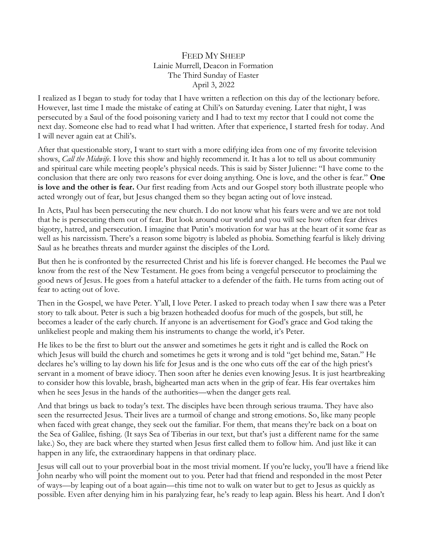## FEED MY SHEEP Lainie Murrell, Deacon in Formation The Third Sunday of Easter April 3, 2022

I realized as I began to study for today that I have written a reflection on this day of the lectionary before. However, last time I made the mistake of eating at Chili's on Saturday evening. Later that night, I was persecuted by a Saul of the food poisoning variety and I had to text my rector that I could not come the next day. Someone else had to read what I had written. After that experience, I started fresh for today. And I will never again eat at Chili's.

After that questionable story, I want to start with a more edifying idea from one of my favorite television shows, *Call the Midwife*. I love this show and highly recommend it. It has a lot to tell us about community and spiritual care while meeting people's physical needs. This is said by Sister Julienne: "I have come to the conclusion that there are only two reasons for ever doing anything. One is love, and the other is fear." **One is love and the other is fear.** Our first reading from Acts and our Gospel story both illustrate people who acted wrongly out of fear, but Jesus changed them so they began acting out of love instead.

In Acts, Paul has been persecuting the new church. I do not know what his fears were and we are not told that he is persecuting them out of fear. But look around our world and you will see how often fear drives bigotry, hatred, and persecution. I imagine that Putin's motivation for war has at the heart of it some fear as well as his narcissism. There's a reason some bigotry is labeled as phobia. Something fearful is likely driving Saul as he breathes threats and murder against the disciples of the Lord.

But then he is confronted by the resurrected Christ and his life is forever changed. He becomes the Paul we know from the rest of the New Testament. He goes from being a vengeful persecutor to proclaiming the good news of Jesus. He goes from a hateful attacker to a defender of the faith. He turns from acting out of fear to acting out of love.

Then in the Gospel, we have Peter. Y'all, I love Peter. I asked to preach today when I saw there was a Peter story to talk about. Peter is such a big brazen hotheaded doofus for much of the gospels, but still, he becomes a leader of the early church. If anyone is an advertisement for God's grace and God taking the unlikeliest people and making them his instruments to change the world, it's Peter.

He likes to be the first to blurt out the answer and sometimes he gets it right and is called the Rock on which Jesus will build the church and sometimes he gets it wrong and is told "get behind me, Satan." He declares he's willing to lay down his life for Jesus and is the one who cuts off the ear of the high priest's servant in a moment of brave idiocy. Then soon after he denies even knowing Jesus. It is just heartbreaking to consider how this lovable, brash, bighearted man acts when in the grip of fear. His fear overtakes him when he sees Jesus in the hands of the authorities—when the danger gets real.

And that brings us back to today's text. The disciples have been through serious trauma. They have also seen the resurrected Jesus. Their lives are a turmoil of change and strong emotions. So, like many people when faced with great change, they seek out the familiar. For them, that means they're back on a boat on the Sea of Galilee, fishing. (It says Sea of Tiberias in our text, but that's just a different name for the same lake.) So, they are back where they started when Jesus first called them to follow him. And just like it can happen in any life, the extraordinary happens in that ordinary place.

Jesus will call out to your proverbial boat in the most trivial moment. If you're lucky, you'll have a friend like John nearby who will point the moment out to you. Peter had that friend and responded in the most Peter of ways—by leaping out of a boat again—this time not to walk on water but to get to Jesus as quickly as possible. Even after denying him in his paralyzing fear, he's ready to leap again. Bless his heart. And I don't